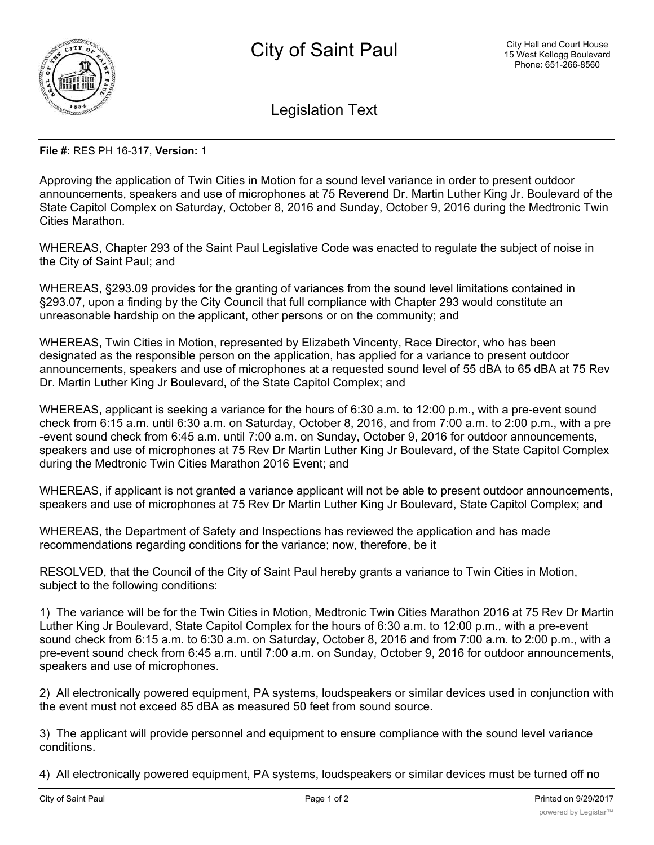

Legislation Text

## **File #:** RES PH 16-317, **Version:** 1

Approving the application of Twin Cities in Motion for a sound level variance in order to present outdoor announcements, speakers and use of microphones at 75 Reverend Dr. Martin Luther King Jr. Boulevard of the State Capitol Complex on Saturday, October 8, 2016 and Sunday, October 9, 2016 during the Medtronic Twin Cities Marathon.

WHEREAS, Chapter 293 of the Saint Paul Legislative Code was enacted to regulate the subject of noise in the City of Saint Paul; and

WHEREAS, §293.09 provides for the granting of variances from the sound level limitations contained in §293.07, upon a finding by the City Council that full compliance with Chapter 293 would constitute an unreasonable hardship on the applicant, other persons or on the community; and

WHEREAS, Twin Cities in Motion, represented by Elizabeth Vincenty, Race Director, who has been designated as the responsible person on the application, has applied for a variance to present outdoor announcements, speakers and use of microphones at a requested sound level of 55 dBA to 65 dBA at 75 Rev Dr. Martin Luther King Jr Boulevard, of the State Capitol Complex; and

WHEREAS, applicant is seeking a variance for the hours of 6:30 a.m. to 12:00 p.m., with a pre-event sound check from 6:15 a.m. until 6:30 a.m. on Saturday, October 8, 2016, and from 7:00 a.m. to 2:00 p.m., with a pre -event sound check from 6:45 a.m. until 7:00 a.m. on Sunday, October 9, 2016 for outdoor announcements, speakers and use of microphones at 75 Rev Dr Martin Luther King Jr Boulevard, of the State Capitol Complex during the Medtronic Twin Cities Marathon 2016 Event; and

WHEREAS, if applicant is not granted a variance applicant will not be able to present outdoor announcements, speakers and use of microphones at 75 Rev Dr Martin Luther King Jr Boulevard, State Capitol Complex; and

WHEREAS, the Department of Safety and Inspections has reviewed the application and has made recommendations regarding conditions for the variance; now, therefore, be it

RESOLVED, that the Council of the City of Saint Paul hereby grants a variance to Twin Cities in Motion, subject to the following conditions:

1) The variance will be for the Twin Cities in Motion, Medtronic Twin Cities Marathon 2016 at 75 Rev Dr Martin Luther King Jr Boulevard, State Capitol Complex for the hours of 6:30 a.m. to 12:00 p.m., with a pre-event sound check from 6:15 a.m. to 6:30 a.m. on Saturday, October 8, 2016 and from 7:00 a.m. to 2:00 p.m., with a pre-event sound check from 6:45 a.m. until 7:00 a.m. on Sunday, October 9, 2016 for outdoor announcements, speakers and use of microphones.

2) All electronically powered equipment, PA systems, loudspeakers or similar devices used in conjunction with the event must not exceed 85 dBA as measured 50 feet from sound source.

3) The applicant will provide personnel and equipment to ensure compliance with the sound level variance conditions.

4) All electronically powered equipment, PA systems, loudspeakers or similar devices must be turned off no